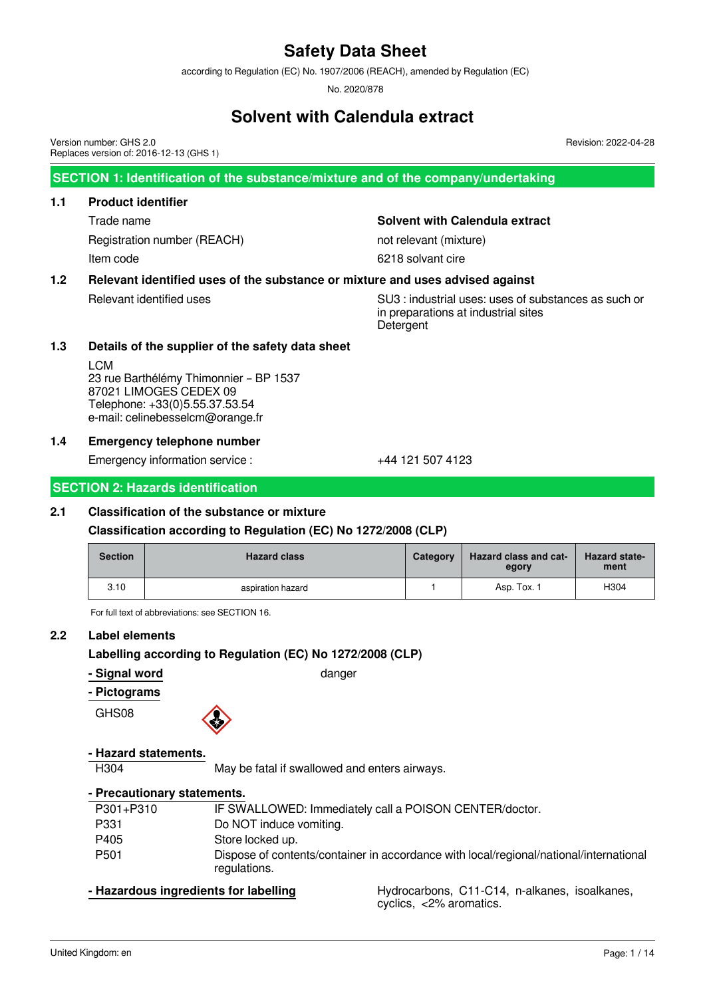according to Regulation (EC) No. 1907/2006 (REACH), amended by Regulation (EC)

No. 2020/878

### **Solvent with Calendula extract**

Version number: GHS 2.0 Replaces version of: 2016-12-13 (GHS 1)

**SECTION 1: Identification of the substance/mixture and of the company/undertaking**

#### **1.1 Product identifier**

Registration number (REACH) not relevant (mixture) Item code 6218 solvant cire

Trade name **Solvent with Calendula extract**

#### **1.2 Relevant identified uses of the substance or mixture and uses advised against**

Relevant identified uses SU3 : industrial uses: uses of substances as such or in preparations at industrial sites **Detergent** 

Revision: 2022-04-28

#### **1.3 Details of the supplier of the safety data sheet**

LCM 23 rue Barthélémy Thimonnier – BP 1537 87021 LIMOGES CEDEX 09 Telephone: +33(0)5.55.37.53.54 e-mail: celinebesselcm@orange.fr

#### **1.4 Emergency telephone number**

Emergency information service :  $+44$  121 507 4123

#### **SECTION 2: Hazards identification**

#### **2.1 Classification of the substance or mixture**

#### **Classification according to Regulation (EC) No 1272/2008 (CLP)**

| <b>Section</b> | <b>Hazard class</b> | Category | <b>Hazard class and cat-</b><br>egory | <b>Hazard state-</b><br>ment |
|----------------|---------------------|----------|---------------------------------------|------------------------------|
| 3.10           | aspiration hazard   |          | Asp. Tox. 1                           | H304                         |

For full text of abbreviations: see SECTION 16.

#### **2.2 Label elements**

#### **Labelling according to Regulation (EC) No 1272/2008 (CLP)**

**- Signal word** danger

#### **- Pictograms**

GHS08

#### **- Hazard statements.**

H304 May be fatal if swallowed and enters airways.

#### **- Precautionary statements.**

| P301+P310        | IF SWALLOWED: Immediately call a POISON CENTER/doctor.                                                 |
|------------------|--------------------------------------------------------------------------------------------------------|
| P331             | Do NOT induce vomiting.                                                                                |
| P405             | Store locked up.                                                                                       |
| P <sub>501</sub> | Dispose of contents/container in accordance with local/regional/national/international<br>regulations. |

**- Hazardous ingredients for labelling example Hydrocarbons, C11-C14, n-alkanes, isoalkanes,** cyclics, <2% aromatics.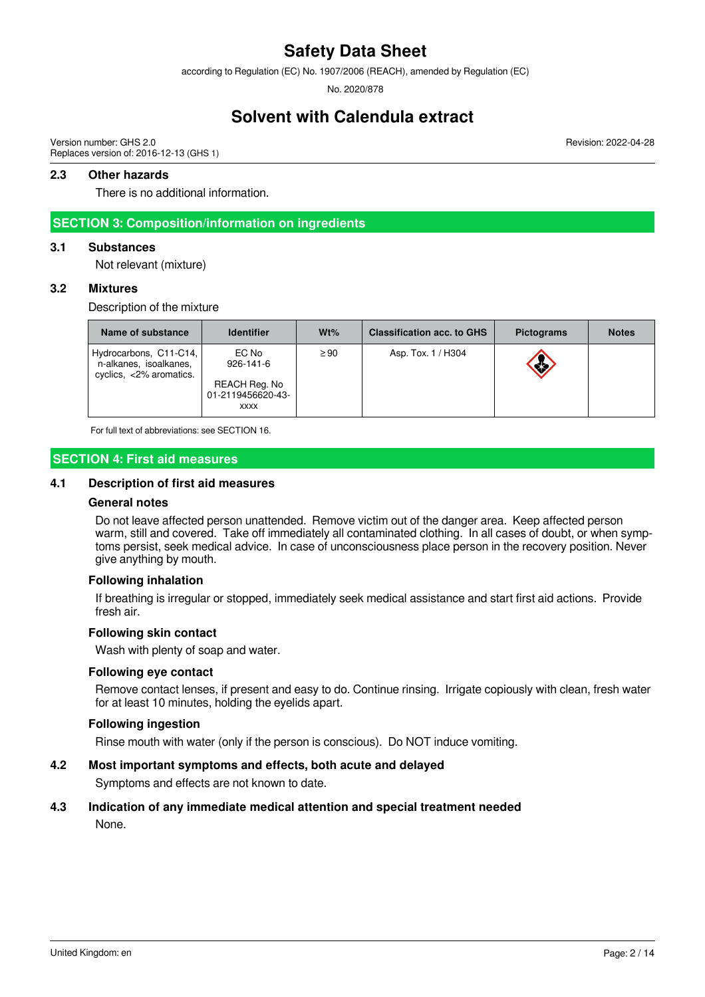according to Regulation (EC) No. 1907/2006 (REACH), amended by Regulation (EC)

No. 2020/878

### **Solvent with Calendula extract**

Version number: GHS 2.0 Replaces version of: 2016-12-13 (GHS 1)

#### **2.3 Other hazards**

There is no additional information.

#### **SECTION 3: Composition/information on ingredients**

#### **3.1 Substances**

Not relevant (mixture)

#### **3.2 Mixtures**

Description of the mixture

| Name of substance                                                                     | <b>Identifier</b>                                                      | $Wt\%$    | <b>Classification acc. to GHS</b> | <b>Pictograms</b> | <b>Notes</b> |
|---------------------------------------------------------------------------------------|------------------------------------------------------------------------|-----------|-----------------------------------|-------------------|--------------|
| Hydrocarbons, C11-C14,<br>n-alkanes, isoalkanes,<br>cyclics, $\langle 2\%$ aromatics. | EC No<br>$926 - 141 - 6$<br>REACH Reg. No<br>01-2119456620-43-<br>XXXX | $\geq$ 90 | Asp. Tox. 1 / H304                | <b>REGISTER</b>   |              |

For full text of abbreviations: see SECTION 16.

#### **SECTION 4: First aid measures**

#### **4.1 Description of first aid measures**

#### **General notes**

Do not leave affected person unattended. Remove victim out of the danger area. Keep affected person warm, still and covered. Take off immediately all contaminated clothing. In all cases of doubt, or when symptoms persist, seek medical advice. In case of unconsciousness place person in the recovery position. Never give anything by mouth.

#### **Following inhalation**

If breathing is irregular or stopped, immediately seek medical assistance and start first aid actions. Provide fresh air.

#### **Following skin contact**

Wash with plenty of soap and water.

#### **Following eye contact**

Remove contact lenses, if present and easy to do. Continue rinsing. Irrigate copiously with clean, fresh water for at least 10 minutes, holding the eyelids apart.

#### **Following ingestion**

Rinse mouth with water (only if the person is conscious). Do NOT induce vomiting.

#### **4.2 Most important symptoms and effects, both acute and delayed**

Symptoms and effects are not known to date.

#### **4.3 Indication of any immediate medical attention and special treatment needed**

None.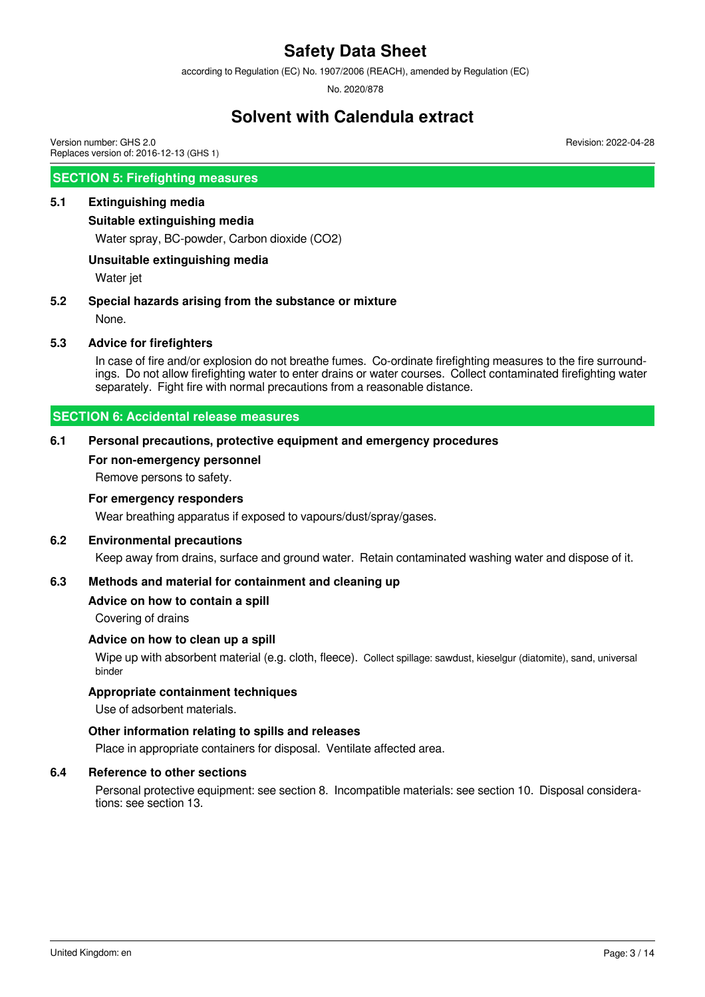according to Regulation (EC) No. 1907/2006 (REACH), amended by Regulation (EC)

No. 2020/878

### **Solvent with Calendula extract**

Version number: GHS 2.0 Replaces version of: 2016-12-13 (GHS 1)

#### **SECTION 5: Firefighting measures**

#### **5.1 Extinguishing media**

#### **Suitable extinguishing media**

Water spray, BC-powder, Carbon dioxide (CO2)

#### **Unsuitable extinguishing media**

Water jet

#### **5.2 Special hazards arising from the substance or mixture**

None.

#### **5.3 Advice for firefighters**

In case of fire and/or explosion do not breathe fumes. Co-ordinate firefighting measures to the fire surroundings. Do not allow firefighting water to enter drains or water courses. Collect contaminated firefighting water separately. Fight fire with normal precautions from a reasonable distance.

#### **SECTION 6: Accidental release measures**

#### **6.1 Personal precautions, protective equipment and emergency procedures**

#### **For non-emergency personnel**

Remove persons to safety.

#### **For emergency responders**

Wear breathing apparatus if exposed to vapours/dust/spray/gases.

#### **6.2 Environmental precautions**

Keep away from drains, surface and ground water. Retain contaminated washing water and dispose of it.

#### **6.3 Methods and material for containment and cleaning up**

#### **Advice on how to contain a spill**

Covering of drains

#### **Advice on how to clean up a spill**

Wipe up with absorbent material (e.g. cloth, fleece). Collect spillage: sawdust, kieselgur (diatomite), sand, universal binder

#### **Appropriate containment techniques**

Use of adsorbent materials.

#### **Other information relating to spills and releases**

Place in appropriate containers for disposal. Ventilate affected area.

#### **6.4 Reference to other sections**

Personal protective equipment: see section 8. Incompatible materials: see section 10. Disposal considerations: see section 13.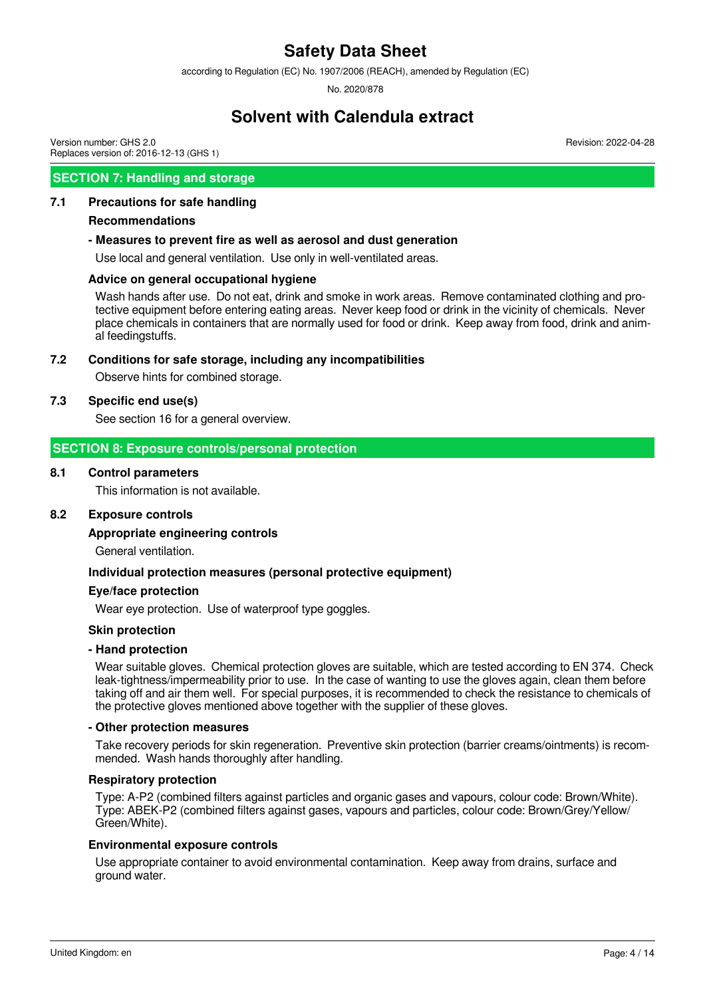according to Regulation (EC) No. 1907/2006 (REACH), amended by Regulation (EC)

No. 2020/878

### **Solvent with Calendula extract**

Revision: 2022-04-28

Version number: GHS 2.0 Replaces version of: 2016-12-13 (GHS 1)

#### **SECTION 7: Handling and storage**

#### **7.1 Precautions for safe handling**

#### **Recommendations**

#### **- Measures to prevent fire as well as aerosol and dust generation**

Use local and general ventilation. Use only in well-ventilated areas.

#### **Advice on general occupational hygiene**

Wash hands after use. Do not eat, drink and smoke in work areas. Remove contaminated clothing and protective equipment before entering eating areas. Never keep food or drink in the vicinity of chemicals. Never place chemicals in containers that are normally used for food or drink. Keep away from food, drink and animal feedingstuffs.

#### **7.2 Conditions for safe storage, including any incompatibilities**

Observe hints for combined storage.

#### **7.3 Specific end use(s)**

See section 16 for a general overview.

#### **SECTION 8: Exposure controls/personal protection**

#### **8.1 Control parameters**

This information is not available.

#### **8.2 Exposure controls**

#### **Appropriate engineering controls**

General ventilation.

#### **Individual protection measures (personal protective equipment)**

#### **Eye/face protection**

Wear eye protection. Use of waterproof type goggles.

#### **Skin protection**

#### **- Hand protection**

Wear suitable gloves. Chemical protection gloves are suitable, which are tested according to EN 374. Check leak-tightness/impermeability prior to use. In the case of wanting to use the gloves again, clean them before taking off and air them well. For special purposes, it is recommended to check the resistance to chemicals of the protective gloves mentioned above together with the supplier of these gloves.

#### **- Other protection measures**

Take recovery periods for skin regeneration. Preventive skin protection (barrier creams/ointments) is recommended. Wash hands thoroughly after handling.

#### **Respiratory protection**

Type: A-P2 (combined filters against particles and organic gases and vapours, colour code: Brown/White). Type: ABEK-P2 (combined filters against gases, vapours and particles, colour code: Brown/Grey/Yellow/ Green/White).

#### **Environmental exposure controls**

Use appropriate container to avoid environmental contamination. Keep away from drains, surface and ground water.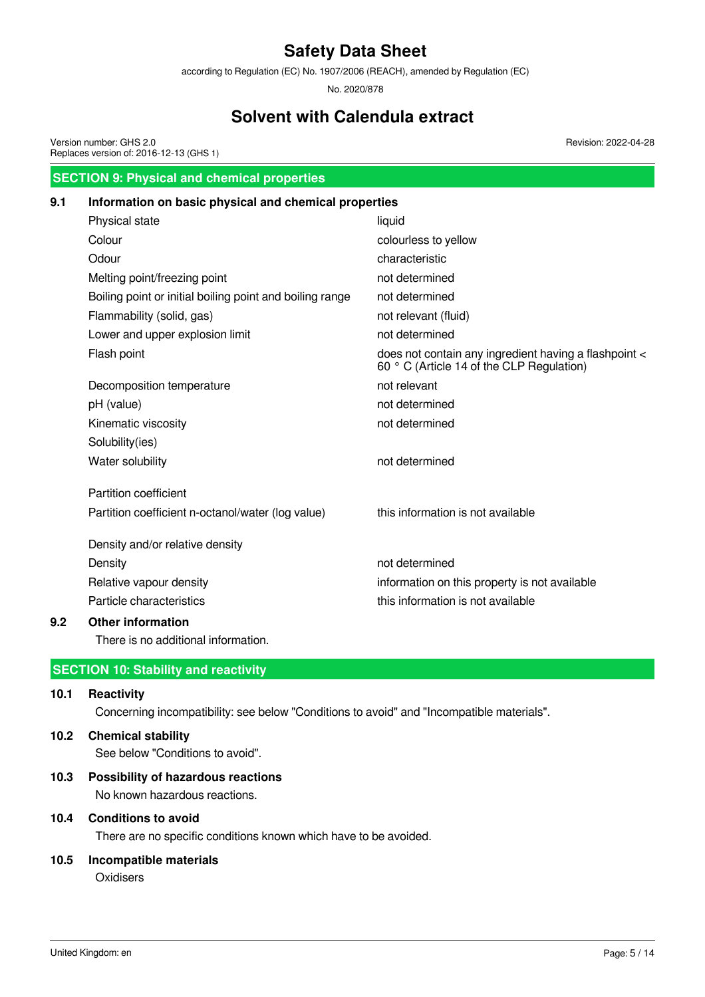according to Regulation (EC) No. 1907/2006 (REACH), amended by Regulation (EC)

No. 2020/878

### **Solvent with Calendula extract**

Version number: GHS 2.0 Replaces version of: 2016-12-13 (GHS 1)

Revision: 2022-04-28

## **SECTION 9: Physical and chemical properties 9.1 Information on basic physical and chemical properties** Physical state liquid liquid Colour colourless to yellow Odour characteristic Melting point/freezing point not determined Boiling point or initial boiling point and boiling range not determined Flammability (solid, gas) not relevant (fluid) Lower and upper explosion limit not determined Flash point does not contain any ingredient having a flashpoint < 60 ° C (Article 14 of the CLP Regulation) Decomposition temperature not relevant pH (value) not determined Kinematic viscosity not determined Solubility(ies) Water solubility and the matter of the matter of the matter of the matter of the matter of the matter of the matter of the matter of the matter of the matter of the matter of the matter of the matter of the matter of the m Partition coefficient Partition coefficient n-octanol/water (log value) this information is not available Density and/or relative density Density **Density** not determined Relative vapour density information on this property is not available Particle characteristics extending this information is not available

#### **9.2 Other information**

There is no additional information.

### **SECTION 10: Stability and reactivity**

#### **10.1 Reactivity**

Concerning incompatibility: see below "Conditions to avoid" and "Incompatible materials".

### **10.2 Chemical stability**

See below "Conditions to avoid".

#### **10.3 Possibility of hazardous reactions**

No known hazardous reactions.

#### **10.4 Conditions to avoid**

There are no specific conditions known which have to be avoided.

#### **10.5 Incompatible materials**

**Oxidisers**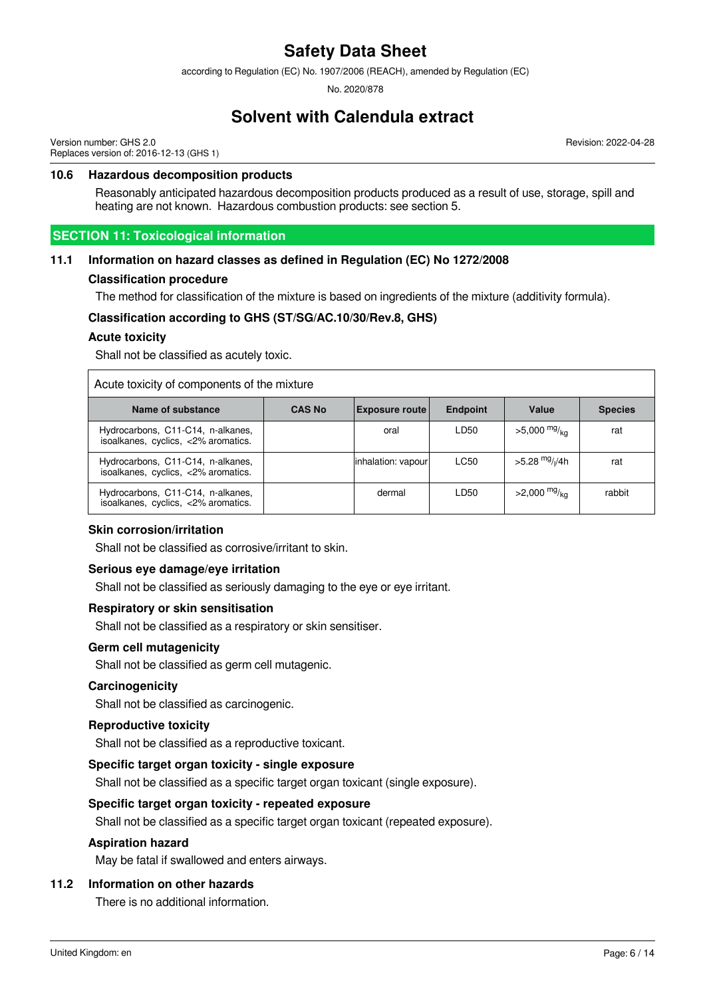according to Regulation (EC) No. 1907/2006 (REACH), amended by Regulation (EC)

No. 2020/878

### **Solvent with Calendula extract**

Version number: GHS 2.0 Replaces version of: 2016-12-13 (GHS 1) Revision: 2022-04-28

#### **10.6 Hazardous decomposition products**

Reasonably anticipated hazardous decomposition products produced as a result of use, storage, spill and heating are not known. Hazardous combustion products: see section 5.

#### **SECTION 11: Toxicological information**

#### **11.1 Information on hazard classes as defined in Regulation (EC) No 1272/2008**

#### **Classification procedure**

The method for classification of the mixture is based on ingredients of the mixture (additivity formula).

#### **Classification according to GHS (ST/SG/AC.10/30/Rev.8, GHS)**

#### **Acute toxicity**

Shall not be classified as acutely toxic.

| Acute toxicity of components of the mixture                              |               |                       |                 |                                        |                |
|--------------------------------------------------------------------------|---------------|-----------------------|-----------------|----------------------------------------|----------------|
| Name of substance                                                        | <b>CAS No</b> | <b>Exposure route</b> | <b>Endpoint</b> | Value                                  | <b>Species</b> |
| Hydrocarbons, C11-C14, n-alkanes,<br>isoalkanes, cyclics, <2% aromatics. |               | oral                  | LD50            | $>5,000$ mg/ <sub>ka</sub>             | rat            |
| Hydrocarbons, C11-C14, n-alkanes,<br>isoalkanes, cyclics, <2% aromatics. |               | inhalation: vapour    | LC50            | >5.28 <sup>mg</sup> / <sub>l</sub> /4h | rat            |
| Hydrocarbons, C11-C14, n-alkanes,<br>isoalkanes, cyclics, <2% aromatics. |               | dermal                | LD50            | $>2,000$ mg/ <sub>ka</sub>             | rabbit         |

#### **Skin corrosion/irritation**

Shall not be classified as corrosive/irritant to skin.

#### **Serious eye damage/eye irritation**

Shall not be classified as seriously damaging to the eye or eye irritant.

#### **Respiratory or skin sensitisation**

Shall not be classified as a respiratory or skin sensitiser.

#### **Germ cell mutagenicity**

Shall not be classified as germ cell mutagenic.

#### **Carcinogenicity**

Shall not be classified as carcinogenic.

#### **Reproductive toxicity**

Shall not be classified as a reproductive toxicant.

#### **Specific target organ toxicity - single exposure**

Shall not be classified as a specific target organ toxicant (single exposure).

#### **Specific target organ toxicity - repeated exposure**

Shall not be classified as a specific target organ toxicant (repeated exposure).

#### **Aspiration hazard**

May be fatal if swallowed and enters airways.

#### **11.2 Information on other hazards**

There is no additional information.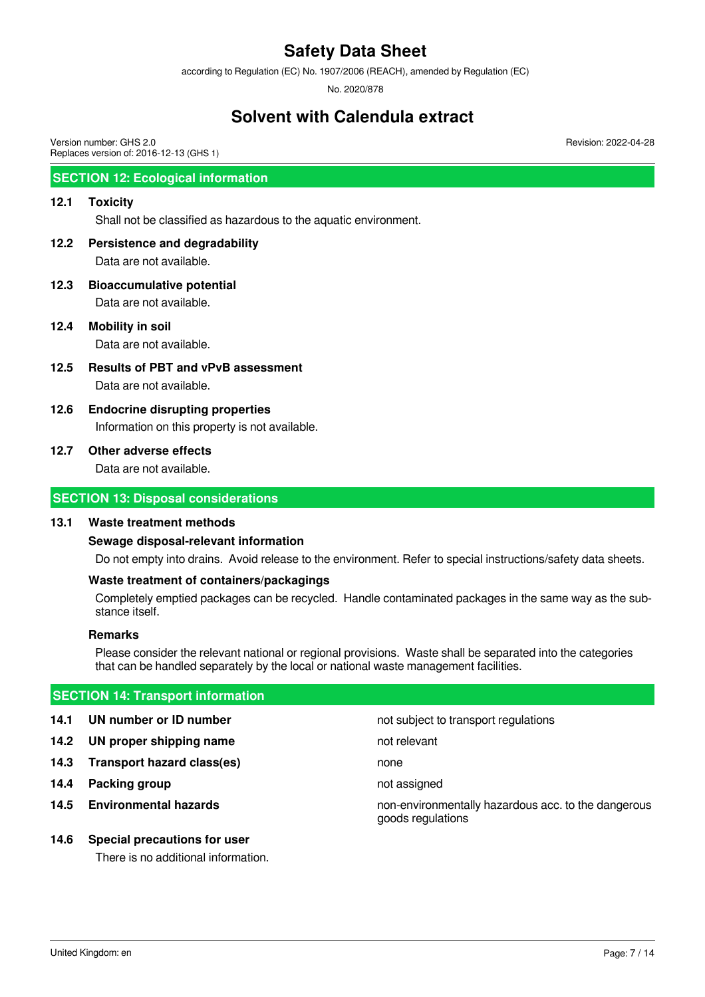according to Regulation (EC) No. 1907/2006 (REACH), amended by Regulation (EC)

No. 2020/878

## **Solvent with Calendula extract**

Version number: GHS 2.0 Replaces version of: 2016-12-13 (GHS 1)

#### **SECTION 12: Ecological information**

#### **12.1 Toxicity**

Shall not be classified as hazardous to the aquatic environment.

#### **12.2 Persistence and degradability**

Data are not available.

- **12.3 Bioaccumulative potential** Data are not available.
- **12.4 Mobility in soil** Data are not available.

**12.5 Results of PBT and vPvB assessment**

Data are not available.

# **12.6 Endocrine disrupting properties**

Information on this property is not available.

#### **12.7 Other adverse effects**

Data are not available.

#### **SECTION 13: Disposal considerations**

#### **13.1 Waste treatment methods**

#### **Sewage disposal-relevant information**

Do not empty into drains. Avoid release to the environment. Refer to special instructions/safety data sheets.

#### **Waste treatment of containers/packagings**

Completely emptied packages can be recycled. Handle contaminated packages in the same way as the substance itself.

#### **Remarks**

Please consider the relevant national or regional provisions. Waste shall be separated into the categories that can be handled separately by the local or national waste management facilities.

#### **SECTION 14: Transport information**

- 
- **14.2 UN proper shipping name** not relevant
- **14.3 Transport hazard class(es)** none
- **14.4 Packing group not assigned**
- 

#### **14.6 Special precautions for user**

There is no additional information.

**14.1 UN number or ID number not subject to transport regulations** 

**14.5 Environmental hazards** non-environmentally hazardous acc. to the dangerous goods regulations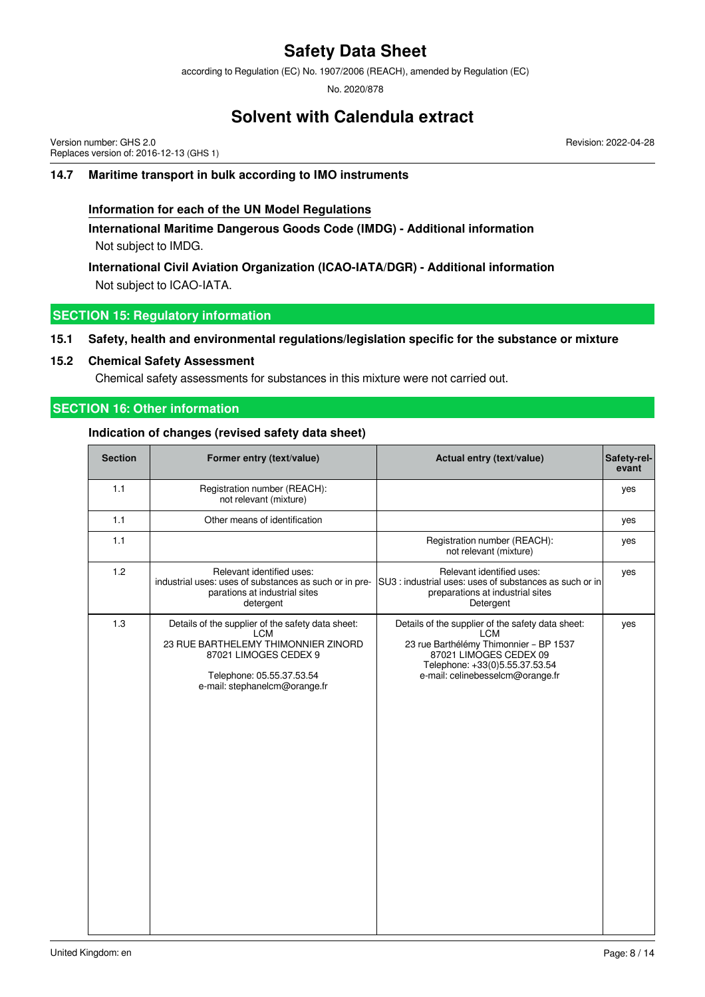according to Regulation (EC) No. 1907/2006 (REACH), amended by Regulation (EC)

No. 2020/878

### **Solvent with Calendula extract**

Version number: GHS 2.0 Replaces version of: 2016-12-13 (GHS 1) Revision: 2022-04-28

#### **14.7 Maritime transport in bulk according to IMO instruments**

#### **Information for each of the UN Model Regulations**

**International Maritime Dangerous Goods Code (IMDG) - Additional information** Not subject to IMDG.

**International Civil Aviation Organization (ICAO-IATA/DGR) - Additional information** Not subject to ICAO-IATA.

#### **SECTION 15: Regulatory information**

#### **15.1 Safety, health and environmental regulations/legislation specific for the substance or mixture**

#### **15.2 Chemical Safety Assessment**

Chemical safety assessments for substances in this mixture were not carried out.

#### **SECTION 16: Other information**

#### **Indication of changes (revised safety data sheet)**

| <b>Section</b> | Former entry (text/value)                                                                                                                                                                     | Actual entry (text/value)                                                                                                                                                                                 | Safety-rel-<br>evant |
|----------------|-----------------------------------------------------------------------------------------------------------------------------------------------------------------------------------------------|-----------------------------------------------------------------------------------------------------------------------------------------------------------------------------------------------------------|----------------------|
| 1.1            | Registration number (REACH):<br>not relevant (mixture)                                                                                                                                        |                                                                                                                                                                                                           | yes                  |
| 1.1            | Other means of identification                                                                                                                                                                 |                                                                                                                                                                                                           | yes                  |
| 1.1            |                                                                                                                                                                                               | Registration number (REACH):<br>not relevant (mixture)                                                                                                                                                    | yes                  |
| 1.2            | Relevant identified uses:<br>industrial uses: uses of substances as such or in pre-<br>parations at industrial sites<br>detergent                                                             | Relevant identified uses:<br>SU3 : industrial uses: uses of substances as such or in<br>preparations at industrial sites<br>Detergent                                                                     | yes                  |
| 1.3            | Details of the supplier of the safety data sheet:<br><b>LCM</b><br>23 RUE BARTHELEMY THIMONNIER ZINORD<br>87021 LIMOGES CEDEX 9<br>Telephone: 05.55.37.53.54<br>e-mail: stephanelcm@orange.fr | Details of the supplier of the safety data sheet:<br><b>LCM</b><br>23 rue Barthélémy Thimonnier - BP 1537<br>87021 LIMOGES CEDEX 09<br>Telephone: +33(0)5.55.37.53.54<br>e-mail: celinebesselcm@orange.fr | yes                  |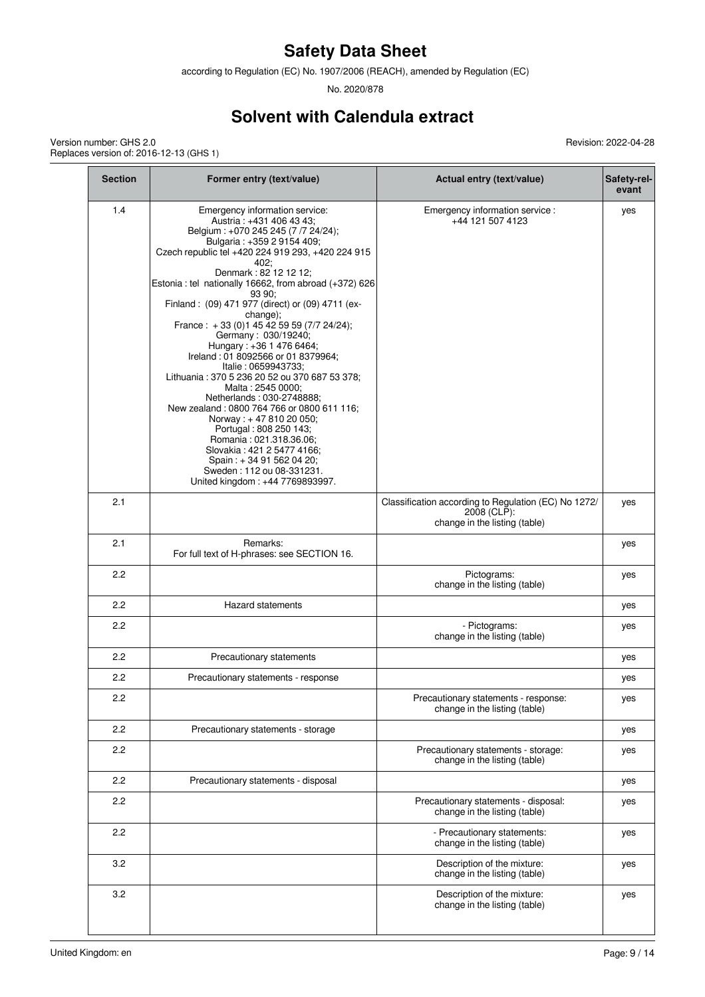according to Regulation (EC) No. 1907/2006 (REACH), amended by Regulation (EC)

No. 2020/878

# **Solvent with Calendula extract**

Version number: GHS 2.0 Replaces version of: 2016-12-13 (GHS 1)

| <b>Section</b> | Former entry (text/value)                                                                                                                                                                                                                                                                                                                                                                                                                                                                                                                                                                                                                                                                                                                                                                                                                                                        | Actual entry (text/value)                                                                            | Safety-rel-<br>evant |
|----------------|----------------------------------------------------------------------------------------------------------------------------------------------------------------------------------------------------------------------------------------------------------------------------------------------------------------------------------------------------------------------------------------------------------------------------------------------------------------------------------------------------------------------------------------------------------------------------------------------------------------------------------------------------------------------------------------------------------------------------------------------------------------------------------------------------------------------------------------------------------------------------------|------------------------------------------------------------------------------------------------------|----------------------|
| 1.4            | Emergency information service:<br>Austria: +431 406 43 43;<br>Belgium: +070 245 245 (7 /7 24/24);<br>Bulgaria: +359 2 9154 409;<br>Czech republic tel +420 224 919 293, +420 224 915<br>402;<br>Denmark: 82 12 12 12;<br>Estonia : tel nationally 16662, from abroad (+372) 626<br>93.90:<br>Finland: (09) 471 977 (direct) or (09) 4711 (ex-<br>change);<br>France: +33 (0) 145 42 59 59 (7/7 24/24);<br>Germany: 030/19240;<br>Hungary: +36 1 476 6464;<br>Ireland: 01 8092566 or 01 8379964;<br>Italie: 0659943733;<br>Lithuania: 370 5 236 20 52 ou 370 687 53 378;<br>Malta: 2545 0000;<br>Netherlands: 030-2748888;<br>New zealand: 0800 764 766 or 0800 611 116;<br>Norway: +47 810 20 050;<br>Portugal: 808 250 143;<br>Romania: 021.318.36.06;<br>Slovakia: 421 2 5477 4166;<br>Spain: $+34915620420$ ;<br>Sweden: 112 ou 08-331231.<br>United kingdom: +44 7769893997. | Emergency information service :<br>+44 121 507 4123                                                  | yes                  |
| 2.1            |                                                                                                                                                                                                                                                                                                                                                                                                                                                                                                                                                                                                                                                                                                                                                                                                                                                                                  | Classification according to Regulation (EC) No 1272/<br>2008 (CLP):<br>change in the listing (table) | yes                  |
| 2.1            | Remarks:<br>For full text of H-phrases: see SECTION 16.                                                                                                                                                                                                                                                                                                                                                                                                                                                                                                                                                                                                                                                                                                                                                                                                                          |                                                                                                      | yes                  |
| 2.2            |                                                                                                                                                                                                                                                                                                                                                                                                                                                                                                                                                                                                                                                                                                                                                                                                                                                                                  | Pictograms:<br>change in the listing (table)                                                         | yes                  |
| 2.2            | <b>Hazard statements</b>                                                                                                                                                                                                                                                                                                                                                                                                                                                                                                                                                                                                                                                                                                                                                                                                                                                         |                                                                                                      | yes                  |
| 2.2            |                                                                                                                                                                                                                                                                                                                                                                                                                                                                                                                                                                                                                                                                                                                                                                                                                                                                                  | - Pictograms:<br>change in the listing (table)                                                       | yes                  |
| 2.2            | Precautionary statements                                                                                                                                                                                                                                                                                                                                                                                                                                                                                                                                                                                                                                                                                                                                                                                                                                                         |                                                                                                      | yes                  |
| 2.2            | Precautionary statements - response                                                                                                                                                                                                                                                                                                                                                                                                                                                                                                                                                                                                                                                                                                                                                                                                                                              |                                                                                                      | yes                  |
| 2.2            |                                                                                                                                                                                                                                                                                                                                                                                                                                                                                                                                                                                                                                                                                                                                                                                                                                                                                  | Precautionary statements - response:<br>change in the listing (table)                                | yes                  |
| 2.2            | Precautionary statements - storage                                                                                                                                                                                                                                                                                                                                                                                                                                                                                                                                                                                                                                                                                                                                                                                                                                               |                                                                                                      | yes                  |
| 2.2            |                                                                                                                                                                                                                                                                                                                                                                                                                                                                                                                                                                                                                                                                                                                                                                                                                                                                                  | Precautionary statements - storage:<br>change in the listing (table)                                 | yes                  |
| 2.2            | Precautionary statements - disposal                                                                                                                                                                                                                                                                                                                                                                                                                                                                                                                                                                                                                                                                                                                                                                                                                                              |                                                                                                      | yes                  |
| 2.2            |                                                                                                                                                                                                                                                                                                                                                                                                                                                                                                                                                                                                                                                                                                                                                                                                                                                                                  | Precautionary statements - disposal:<br>change in the listing (table)                                | yes                  |
| 2.2            |                                                                                                                                                                                                                                                                                                                                                                                                                                                                                                                                                                                                                                                                                                                                                                                                                                                                                  | - Precautionary statements:<br>change in the listing (table)                                         | yes                  |
| 3.2            |                                                                                                                                                                                                                                                                                                                                                                                                                                                                                                                                                                                                                                                                                                                                                                                                                                                                                  | Description of the mixture:<br>change in the listing (table)                                         | yes                  |
| 3.2            |                                                                                                                                                                                                                                                                                                                                                                                                                                                                                                                                                                                                                                                                                                                                                                                                                                                                                  | Description of the mixture:<br>change in the listing (table)                                         | yes                  |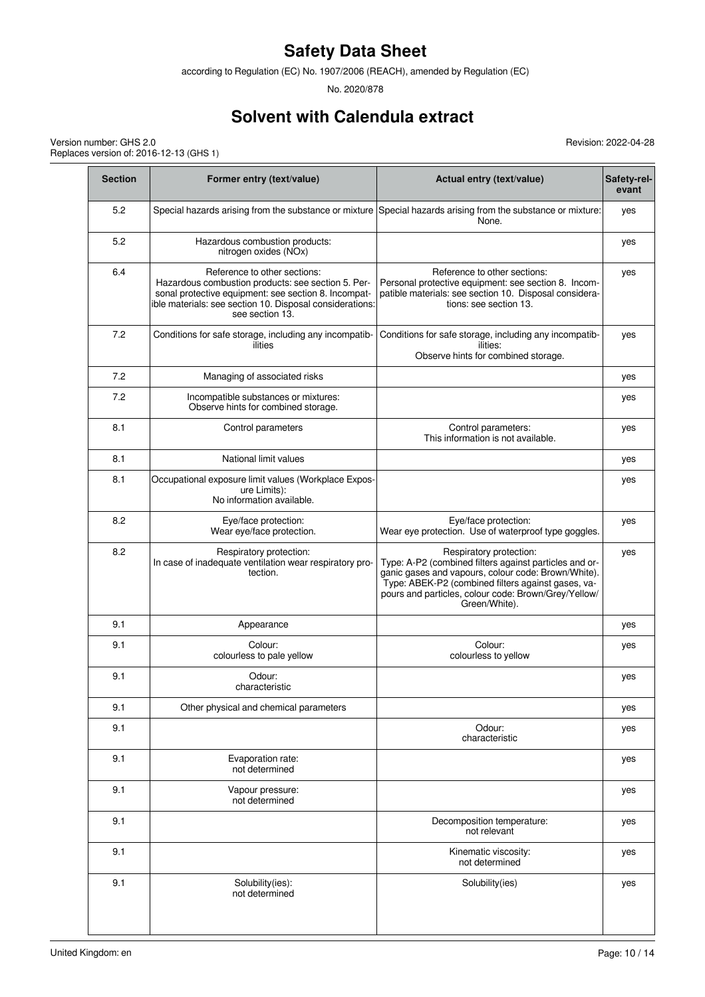according to Regulation (EC) No. 1907/2006 (REACH), amended by Regulation (EC)

No. 2020/878

# **Solvent with Calendula extract**

Version number: GHS 2.0 Replaces version of: 2016-12-13 (GHS 1)

| <b>Section</b> | Former entry (text/value)                                                                                                                                                                                                | Actual entry (text/value)                                                                                                                                                                                                                                               | Safety-rel-<br>evant |
|----------------|--------------------------------------------------------------------------------------------------------------------------------------------------------------------------------------------------------------------------|-------------------------------------------------------------------------------------------------------------------------------------------------------------------------------------------------------------------------------------------------------------------------|----------------------|
| 5.2            |                                                                                                                                                                                                                          | Special hazards arising from the substance or mixture Special hazards arising from the substance or mixture:<br>None.                                                                                                                                                   | yes                  |
| 5.2            | Hazardous combustion products:<br>nitrogen oxides (NOx)                                                                                                                                                                  |                                                                                                                                                                                                                                                                         | yes                  |
| 6.4            | Reference to other sections:<br>Hazardous combustion products: see section 5. Per-<br>sonal protective equipment: see section 8. Incompat-<br>ble materials: see section 10. Disposal considerations:<br>see section 13. | Reference to other sections:<br>Personal protective equipment: see section 8. Incom-<br>patible materials: see section 10. Disposal considera-<br>tions: see section 13.                                                                                                | yes                  |
| 7.2            | Conditions for safe storage, including any incompatib-<br>ilities                                                                                                                                                        | Conditions for safe storage, including any incompatib-<br>ilities:<br>Observe hints for combined storage.                                                                                                                                                               | yes                  |
| 7.2            | Managing of associated risks                                                                                                                                                                                             |                                                                                                                                                                                                                                                                         | yes                  |
| 7.2            | Incompatible substances or mixtures:<br>Observe hints for combined storage.                                                                                                                                              |                                                                                                                                                                                                                                                                         | yes                  |
| 8.1            | Control parameters                                                                                                                                                                                                       | Control parameters:<br>This information is not available.                                                                                                                                                                                                               | yes                  |
| 8.1            | National limit values                                                                                                                                                                                                    |                                                                                                                                                                                                                                                                         | yes                  |
| 8.1            | Occupational exposure limit values (Workplace Expos-<br>ure Limits):<br>No information available.                                                                                                                        |                                                                                                                                                                                                                                                                         | yes                  |
| 8.2            | Eye/face protection:<br>Wear eye/face protection.                                                                                                                                                                        | Eye/face protection:<br>Wear eye protection. Use of waterproof type goggles.                                                                                                                                                                                            | yes                  |
| 8.2            | Respiratory protection:<br>In case of inadequate ventilation wear respiratory pro-<br>tection.                                                                                                                           | Respiratory protection:<br>Type: A-P2 (combined filters against particles and or-<br>ganic gases and vapours, colour code: Brown/White).<br>Type: ABEK-P2 (combined filters against gases, va-<br>pours and particles, colour code: Brown/Grey/Yellow/<br>Green/White). | yes                  |
| 9.1            | Appearance                                                                                                                                                                                                               |                                                                                                                                                                                                                                                                         | yes                  |
| 9.1            | Colour:<br>colourless to pale yellow                                                                                                                                                                                     | Colour:<br>colourless to yellow                                                                                                                                                                                                                                         | yes                  |
| 9.1            | Odour:<br>characteristic                                                                                                                                                                                                 |                                                                                                                                                                                                                                                                         | yes                  |
| 9.1            | Other physical and chemical parameters                                                                                                                                                                                   |                                                                                                                                                                                                                                                                         | yes                  |
| 9.1            |                                                                                                                                                                                                                          | Odour:<br>characteristic                                                                                                                                                                                                                                                | yes                  |
| 9.1            | Evaporation rate:<br>not determined                                                                                                                                                                                      |                                                                                                                                                                                                                                                                         | yes                  |
| 9.1            | Vapour pressure:<br>not determined                                                                                                                                                                                       |                                                                                                                                                                                                                                                                         | yes                  |
| 9.1            |                                                                                                                                                                                                                          | Decomposition temperature:<br>not relevant                                                                                                                                                                                                                              | yes                  |
| 9.1            |                                                                                                                                                                                                                          | Kinematic viscosity:<br>not determined                                                                                                                                                                                                                                  | yes                  |
| 9.1            | Solubility(ies):<br>not determined                                                                                                                                                                                       | Solubility(ies)                                                                                                                                                                                                                                                         | yes                  |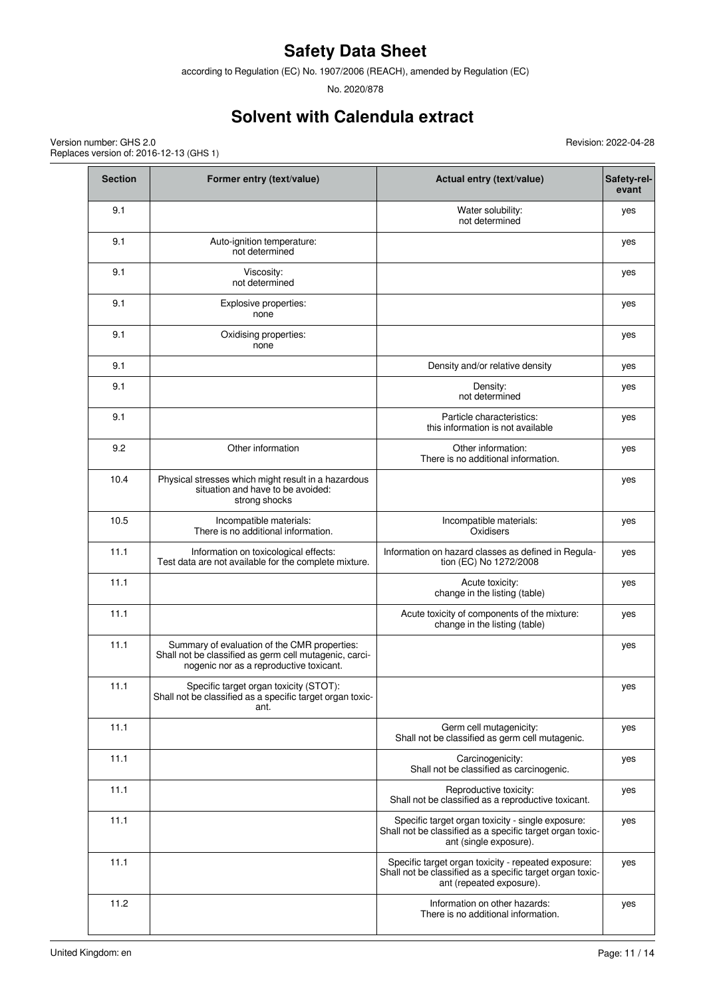according to Regulation (EC) No. 1907/2006 (REACH), amended by Regulation (EC)

No. 2020/878

# **Solvent with Calendula extract**

Revision: 2022-04-28

Version number: GHS 2.0 Replaces version of: 2016-12-13 (GHS 1)

| <b>Section</b> | Former entry (text/value)                                                                                                                         | Actual entry (text/value)                                                                                                                    | Safety-rel-<br>evant |
|----------------|---------------------------------------------------------------------------------------------------------------------------------------------------|----------------------------------------------------------------------------------------------------------------------------------------------|----------------------|
| 9.1            |                                                                                                                                                   | Water solubility:<br>not determined                                                                                                          | yes                  |
| 9.1            | Auto-ignition temperature:<br>not determined                                                                                                      |                                                                                                                                              | yes                  |
| 9.1            | Viscosity:<br>not determined                                                                                                                      |                                                                                                                                              | yes                  |
| 9.1            | Explosive properties:<br>none                                                                                                                     |                                                                                                                                              | yes                  |
| 9.1            | Oxidising properties:<br>none                                                                                                                     |                                                                                                                                              | yes                  |
| 9.1            |                                                                                                                                                   | Density and/or relative density                                                                                                              | yes                  |
| 9.1            |                                                                                                                                                   | Density:<br>not determined                                                                                                                   | yes                  |
| 9.1            |                                                                                                                                                   | Particle characteristics:<br>this information is not available                                                                               | yes                  |
| 9.2            | Other information                                                                                                                                 | Other information:<br>There is no additional information.                                                                                    | yes                  |
| 10.4           | Physical stresses which might result in a hazardous<br>situation and have to be avoided:<br>strong shocks                                         |                                                                                                                                              | yes                  |
| 10.5           | Incompatible materials:<br>There is no additional information.                                                                                    | Incompatible materials:<br>Oxidisers                                                                                                         | yes                  |
| 11.1           | Information on toxicological effects:<br>Test data are not available for the complete mixture.                                                    | Information on hazard classes as defined in Regula-<br>tion (EC) No 1272/2008                                                                | yes                  |
| 11.1           |                                                                                                                                                   | Acute toxicity:<br>change in the listing (table)                                                                                             | yes                  |
| 11.1           |                                                                                                                                                   | Acute toxicity of components of the mixture:<br>change in the listing (table)                                                                | yes                  |
| 11.1           | Summary of evaluation of the CMR properties:<br>Shall not be classified as germ cell mutagenic, carci-<br>nogenic nor as a reproductive toxicant. |                                                                                                                                              | yes                  |
| 11.1           | Specific target organ toxicity (STOT):<br>Shall not be classified as a specific target organ toxic-<br>ant.                                       |                                                                                                                                              | yes                  |
| 11.1           |                                                                                                                                                   | Germ cell mutagenicity:<br>Shall not be classified as germ cell mutagenic.                                                                   | yes                  |
| 11.1           |                                                                                                                                                   | Carcinogenicity:<br>Shall not be classified as carcinogenic.                                                                                 | yes                  |
| 11.1           |                                                                                                                                                   | Reproductive toxicity:<br>Shall not be classified as a reproductive toxicant.                                                                | yes                  |
| 11.1           |                                                                                                                                                   | Specific target organ toxicity - single exposure:<br>Shall not be classified as a specific target organ toxic-<br>ant (single exposure).     | yes                  |
| 11.1           |                                                                                                                                                   | Specific target organ toxicity - repeated exposure:<br>Shall not be classified as a specific target organ toxic-<br>ant (repeated exposure). | yes                  |
| 11.2           |                                                                                                                                                   | Information on other hazards:<br>There is no additional information.                                                                         | yes                  |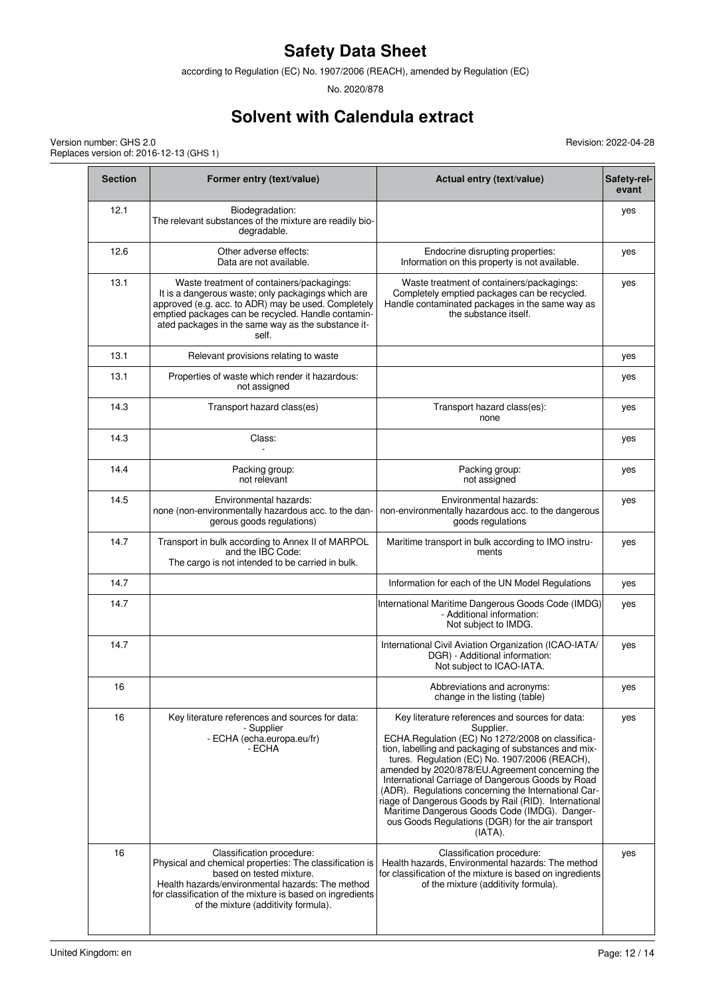according to Regulation (EC) No. 1907/2006 (REACH), amended by Regulation (EC)

No. 2020/878

# **Solvent with Calendula extract**

Revision: 2022-04-28

| <b>Section</b> | Former entry (text/value)                                                                                                                                                                                                                                                   | Actual entry (text/value)                                                                                                                                                                                                                                                                                                                                                                                                                                                                                                                                           | Safety-rel-<br>evant |
|----------------|-----------------------------------------------------------------------------------------------------------------------------------------------------------------------------------------------------------------------------------------------------------------------------|---------------------------------------------------------------------------------------------------------------------------------------------------------------------------------------------------------------------------------------------------------------------------------------------------------------------------------------------------------------------------------------------------------------------------------------------------------------------------------------------------------------------------------------------------------------------|----------------------|
| 12.1           | Biodegradation:<br>The relevant substances of the mixture are readily bio-<br>degradable.                                                                                                                                                                                   |                                                                                                                                                                                                                                                                                                                                                                                                                                                                                                                                                                     | yes                  |
| 12.6           | Other adverse effects:<br>Data are not available.                                                                                                                                                                                                                           | Endocrine disrupting properties:<br>Information on this property is not available.                                                                                                                                                                                                                                                                                                                                                                                                                                                                                  | yes                  |
| 13.1           | Waste treatment of containers/packagings:<br>It is a dangerous waste; only packagings which are<br>approved (e.g. acc. to ADR) may be used. Completely<br>emptied packages can be recycled. Handle contamin-<br>ated packages in the same way as the substance it-<br>self. | Waste treatment of containers/packagings:<br>Completely emptied packages can be recycled.<br>Handle contaminated packages in the same way as<br>the substance itself.                                                                                                                                                                                                                                                                                                                                                                                               | yes                  |
| 13.1           | Relevant provisions relating to waste                                                                                                                                                                                                                                       |                                                                                                                                                                                                                                                                                                                                                                                                                                                                                                                                                                     | yes                  |
| 13.1           | Properties of waste which render it hazardous:<br>not assigned                                                                                                                                                                                                              |                                                                                                                                                                                                                                                                                                                                                                                                                                                                                                                                                                     | yes                  |
| 14.3           | Transport hazard class(es)                                                                                                                                                                                                                                                  | Transport hazard class(es):<br>none                                                                                                                                                                                                                                                                                                                                                                                                                                                                                                                                 | yes                  |
| 14.3           | Class:                                                                                                                                                                                                                                                                      |                                                                                                                                                                                                                                                                                                                                                                                                                                                                                                                                                                     | yes                  |
| 14.4           | Packing group:<br>not relevant                                                                                                                                                                                                                                              | Packing group:<br>not assigned                                                                                                                                                                                                                                                                                                                                                                                                                                                                                                                                      | yes                  |
| 14.5           | Environmental hazards:<br>none (non-environmentally hazardous acc. to the dan-<br>gerous goods regulations)                                                                                                                                                                 | Environmental hazards:<br>non-environmentally hazardous acc. to the dangerous<br>goods regulations                                                                                                                                                                                                                                                                                                                                                                                                                                                                  | yes                  |
| 14.7           | Transport in bulk according to Annex II of MARPOL<br>and the IBC Code:<br>The cargo is not intended to be carried in bulk.                                                                                                                                                  | Maritime transport in bulk according to IMO instru-<br>ments                                                                                                                                                                                                                                                                                                                                                                                                                                                                                                        | yes                  |
| 14.7           |                                                                                                                                                                                                                                                                             | Information for each of the UN Model Regulations                                                                                                                                                                                                                                                                                                                                                                                                                                                                                                                    | yes                  |
| 14.7           |                                                                                                                                                                                                                                                                             | International Maritime Dangerous Goods Code (IMDG)<br>- Additional information:<br>Not subject to IMDG.                                                                                                                                                                                                                                                                                                                                                                                                                                                             | yes                  |
| 14.7           |                                                                                                                                                                                                                                                                             | International Civil Aviation Organization (ICAO-IATA/<br>DGR) - Additional information:<br>Not subject to ICAO-IATA.                                                                                                                                                                                                                                                                                                                                                                                                                                                | yes                  |
| 16             |                                                                                                                                                                                                                                                                             | Abbreviations and acronyms:<br>change in the listing (table)                                                                                                                                                                                                                                                                                                                                                                                                                                                                                                        | yes                  |
| 16             | Key literature references and sources for data:<br>- Supplier<br>- ECHA (echa.europa.eu/fr)<br>- ECHA                                                                                                                                                                       | Key literature references and sources for data:<br>Supplier.<br>ECHA.Regulation (EC) No 1272/2008 on classifica-<br>tion, labelling and packaging of substances and mix-<br>tures. Regulation (EC) No. 1907/2006 (REACH),<br>amended by 2020/878/EU.Agreement concerning the<br>International Carriage of Dangerous Goods by Road<br>(ADR). Regulations concerning the International Car-<br>riage of Dangerous Goods by Rail (RID). International<br>Maritime Dangerous Goods Code (IMDG). Danger-<br>ous Goods Regulations (DGR) for the air transport<br>(IATA). | yes                  |
| 16             | Classification procedure:<br>Physical and chemical properties: The classification is<br>based on tested mixture.<br>Health hazards/environmental hazards: The method<br>for classification of the mixture is based on ingredients<br>of the mixture (additivity formula).   | Classification procedure:<br>Health hazards, Environmental hazards: The method<br>for classification of the mixture is based on ingredients<br>of the mixture (additivity formula).                                                                                                                                                                                                                                                                                                                                                                                 | yes                  |

Version number: GHS 2.0 Replaces version of: 2016-12-13 (GHS 1)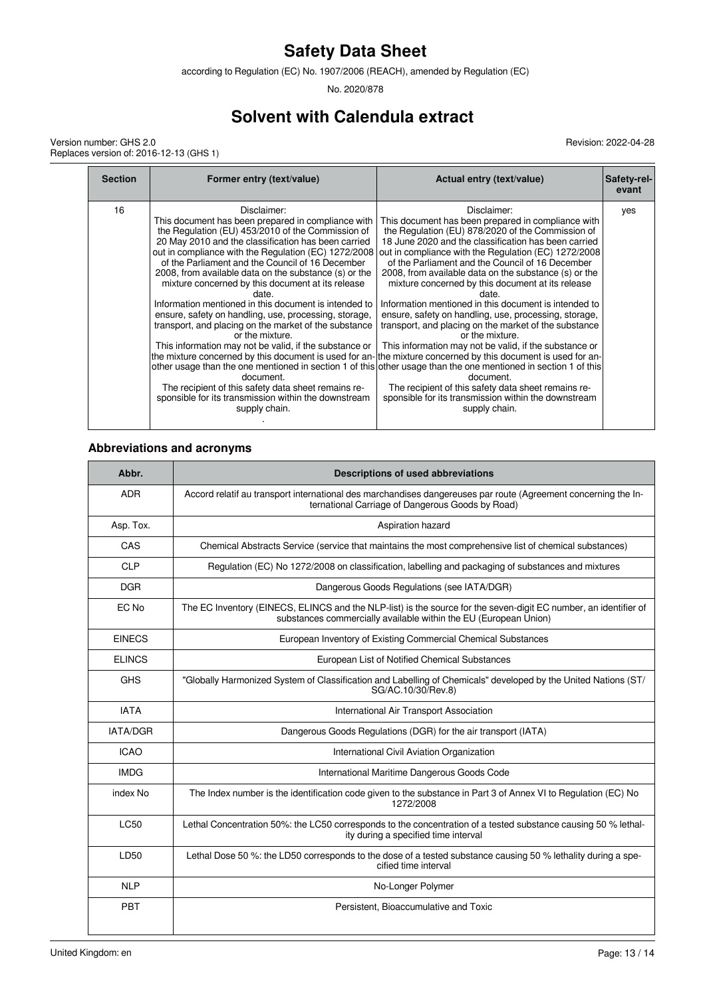according to Regulation (EC) No. 1907/2006 (REACH), amended by Regulation (EC)

No. 2020/878

# **Solvent with Calendula extract**

Version number: GHS 2.0 Replaces version of: 2016-12-13 (GHS 1) Revision: 2022-04-28

| <b>Section</b> | Former entry (text/value)                                                                                                                                                                                                                                                                                                                                                                                                                                                                                                                                                                                                                                                                                                                                                                                             | Actual entry (text/value)                                                                                                                                                                                                                                                                                                                                                                                                                                                                                                                                                                                                                                                                                                                                                                                                                                                                                                                                                                                                                                 | <b>Safety-rel-</b><br>evant |
|----------------|-----------------------------------------------------------------------------------------------------------------------------------------------------------------------------------------------------------------------------------------------------------------------------------------------------------------------------------------------------------------------------------------------------------------------------------------------------------------------------------------------------------------------------------------------------------------------------------------------------------------------------------------------------------------------------------------------------------------------------------------------------------------------------------------------------------------------|-----------------------------------------------------------------------------------------------------------------------------------------------------------------------------------------------------------------------------------------------------------------------------------------------------------------------------------------------------------------------------------------------------------------------------------------------------------------------------------------------------------------------------------------------------------------------------------------------------------------------------------------------------------------------------------------------------------------------------------------------------------------------------------------------------------------------------------------------------------------------------------------------------------------------------------------------------------------------------------------------------------------------------------------------------------|-----------------------------|
| 16             | Disclaimer:<br>This document has been prepared in compliance with<br>the Regulation (EU) 453/2010 of the Commission of<br>20 May 2010 and the classification has been carried<br>out in compliance with the Regulation (EC) 1272/2008<br>of the Parliament and the Council of 16 December<br>2008, from available data on the substance (s) or the<br>mixture concerned by this document at its release<br>date.<br>Information mentioned in this document is intended to<br>ensure, safety on handling, use, processing, storage,<br>transport, and placing on the market of the substance<br>or the mixture.<br>This information may not be valid, if the substance or<br>document.<br>The recipient of this safety data sheet remains re-<br>sponsible for its transmission within the downstream<br>supply chain. | Disclaimer:<br>This document has been prepared in compliance with<br>the Regulation (EU) 878/2020 of the Commission of<br>18 June 2020 and the classification has been carried<br>out in compliance with the Regulation (EC) 1272/2008<br>of the Parliament and the Council of 16 December<br>2008, from available data on the substance (s) or the<br>mixture concerned by this document at its release<br>date.<br>Information mentioned in this document is intended to<br>ensure, safety on handling, use, processing, storage,<br>transport, and placing on the market of the substance<br>or the mixture.<br>This information may not be valid, if the substance or<br>the mixture concerned by this document is used for an-the mixture concerned by this document is used for an-<br>other usage than the one mentioned in section 1 of this other usage than the one mentioned in section 1 of this<br>document.<br>The recipient of this safety data sheet remains re-<br>sponsible for its transmission within the downstream<br>supply chain. | yes                         |

#### **Abbreviations and acronyms**

| Abbr.           | <b>Descriptions of used abbreviations</b>                                                                                                                                            |
|-----------------|--------------------------------------------------------------------------------------------------------------------------------------------------------------------------------------|
| <b>ADR</b>      | Accord relatif au transport international des marchandises dangereuses par route (Agreement concerning the In-<br>ternational Carriage of Dangerous Goods by Road)                   |
| Asp. Tox.       | Aspiration hazard                                                                                                                                                                    |
| CAS             | Chemical Abstracts Service (service that maintains the most comprehensive list of chemical substances)                                                                               |
| <b>CLP</b>      | Regulation (EC) No 1272/2008 on classification, labelling and packaging of substances and mixtures                                                                                   |
| <b>DGR</b>      | Dangerous Goods Regulations (see IATA/DGR)                                                                                                                                           |
| EC No           | The EC Inventory (EINECS, ELINCS and the NLP-list) is the source for the seven-digit EC number, an identifier of<br>substances commercially available within the EU (European Union) |
| <b>EINECS</b>   | European Inventory of Existing Commercial Chemical Substances                                                                                                                        |
| <b>ELINCS</b>   | European List of Notified Chemical Substances                                                                                                                                        |
| <b>GHS</b>      | "Globally Harmonized System of Classification and Labelling of Chemicals" developed by the United Nations (ST/<br>SG/AC.10/30/Rev.8)                                                 |
| <b>IATA</b>     | International Air Transport Association                                                                                                                                              |
| <b>IATA/DGR</b> | Dangerous Goods Regulations (DGR) for the air transport (IATA)                                                                                                                       |
| <b>ICAO</b>     | International Civil Aviation Organization                                                                                                                                            |
| <b>IMDG</b>     | International Maritime Dangerous Goods Code                                                                                                                                          |
| index No        | The Index number is the identification code given to the substance in Part 3 of Annex VI to Regulation (EC) No<br>1272/2008                                                          |
| <b>LC50</b>     | Lethal Concentration 50%: the LC50 corresponds to the concentration of a tested substance causing 50 % lethal-<br>ity during a specified time interval                               |
| LD50            | Lethal Dose 50 %: the LD50 corresponds to the dose of a tested substance causing 50 % lethality during a spe-<br>cified time interval                                                |
| <b>NLP</b>      | No-Longer Polymer                                                                                                                                                                    |
| <b>PBT</b>      | Persistent. Bioaccumulative and Toxic                                                                                                                                                |